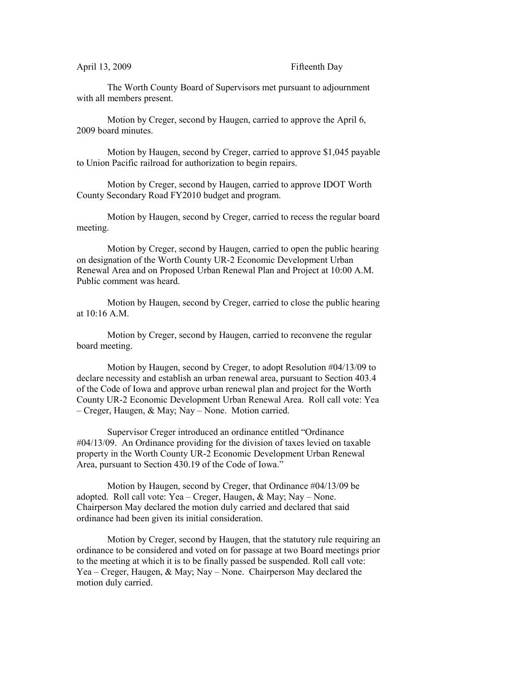## April 13, 2009 Fifteenth Day

The Worth County Board of Supervisors met pursuant to adjournment with all members present.

Motion by Creger, second by Haugen, carried to approve the April 6, 2009 board minutes.

Motion by Haugen, second by Creger, carried to approve \$1,045 payable to Union Pacific railroad for authorization to begin repairs.

Motion by Creger, second by Haugen, carried to approve IDOT Worth County Secondary Road FY2010 budget and program.

Motion by Haugen, second by Creger, carried to recess the regular board meeting.

Motion by Creger, second by Haugen, carried to open the public hearing on designation of the Worth County UR-2 Economic Development Urban Renewal Area and on Proposed Urban Renewal Plan and Project at 10:00 A.M. Public comment was heard.

Motion by Haugen, second by Creger, carried to close the public hearing at 10:16 A.M.

Motion by Creger, second by Haugen, carried to reconvene the regular board meeting.

Motion by Haugen, second by Creger, to adopt Resolution #04/13/09 to declare necessity and establish an urban renewal area, pursuant to Section 403.4 of the Code of Iowa and approve urban renewal plan and project for the Worth County UR-2 Economic Development Urban Renewal Area. Roll call vote: Yea – Creger, Haugen, & May; Nay – None. Motion carried.

Supervisor Creger introduced an ordinance entitled "Ordinance #04/13/09. An Ordinance providing for the division of taxes levied on taxable property in the Worth County UR-2 Economic Development Urban Renewal Area, pursuant to Section 430.19 of the Code of Iowa."

Motion by Haugen, second by Creger, that Ordinance #04/13/09 be adopted. Roll call vote: Yea – Creger, Haugen, & May; Nay – None. Chairperson May declared the motion duly carried and declared that said ordinance had been given its initial consideration.

Motion by Creger, second by Haugen, that the statutory rule requiring an ordinance to be considered and voted on for passage at two Board meetings prior to the meeting at which it is to be finally passed be suspended. Roll call vote: Yea – Creger, Haugen, & May; Nay – None. Chairperson May declared the motion duly carried.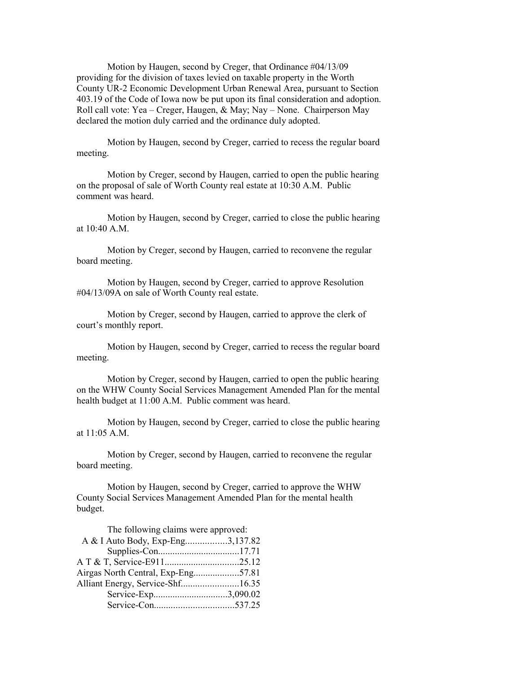Motion by Haugen, second by Creger, that Ordinance #04/13/09 providing for the division of taxes levied on taxable property in the Worth County UR-2 Economic Development Urban Renewal Area, pursuant to Section 403.19 of the Code of Iowa now be put upon its final consideration and adoption. Roll call vote: Yea – Creger, Haugen, & May; Nay – None. Chairperson May declared the motion duly carried and the ordinance duly adopted.

Motion by Haugen, second by Creger, carried to recess the regular board meeting.

Motion by Creger, second by Haugen, carried to open the public hearing on the proposal of sale of Worth County real estate at 10:30 A.M. Public comment was heard.

Motion by Haugen, second by Creger, carried to close the public hearing at 10:40 A.M.

Motion by Creger, second by Haugen, carried to reconvene the regular board meeting.

Motion by Haugen, second by Creger, carried to approve Resolution #04/13/09A on sale of Worth County real estate.

Motion by Creger, second by Haugen, carried to approve the clerk of court's monthly report.

Motion by Haugen, second by Creger, carried to recess the regular board meeting.

Motion by Creger, second by Haugen, carried to open the public hearing on the WHW County Social Services Management Amended Plan for the mental health budget at 11:00 A.M. Public comment was heard.

Motion by Haugen, second by Creger, carried to close the public hearing at 11:05 A.M.

Motion by Creger, second by Haugen, carried to reconvene the regular board meeting.

Motion by Haugen, second by Creger, carried to approve the WHW County Social Services Management Amended Plan for the mental health budget.

| The following claims were approved: |  |
|-------------------------------------|--|
| A & I Auto Body, Exp-Eng3,137.82    |  |
|                                     |  |
|                                     |  |
| Airgas North Central, Exp-Eng57.81  |  |
| Alliant Energy, Service-Shf16.35    |  |
| Service-Exp3,090.02                 |  |
|                                     |  |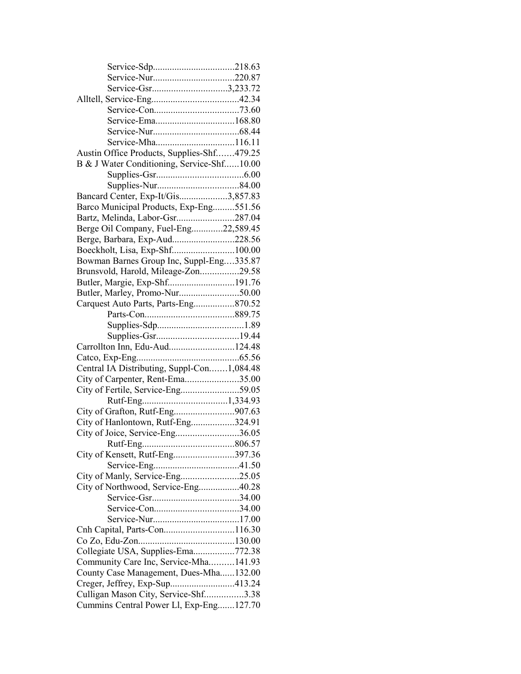| Service-Gsr3,233.72                        |  |
|--------------------------------------------|--|
|                                            |  |
|                                            |  |
|                                            |  |
|                                            |  |
|                                            |  |
| Austin Office Products, Supplies-Shf479.25 |  |
| B & J Water Conditioning, Service-Shf10.00 |  |
|                                            |  |
|                                            |  |
| Bancard Center, Exp-It/Gis3,857.83         |  |
| Barco Municipal Products, Exp-Eng551.56    |  |
| Bartz, Melinda, Labor-Gsr287.04            |  |
| Berge Oil Company, Fuel-Eng22,589.45       |  |
| Berge, Barbara, Exp-Aud228.56              |  |
|                                            |  |
| Bowman Barnes Group Inc, Suppl-Eng335.87   |  |
| Brunsvold, Harold, Mileage-Zon29.58        |  |
| Butler, Margie, Exp-Shf191.76              |  |
| Butler, Marley, Promo-Nur50.00             |  |
| Carquest Auto Parts, Parts-Eng870.52       |  |
|                                            |  |
|                                            |  |
|                                            |  |
| Carrollton Inn, Edu-Aud124.48              |  |
|                                            |  |
| Central IA Distributing, Suppl-Con1,084.48 |  |
| City of Carpenter, Rent-Ema35.00           |  |
|                                            |  |
| City of Fertile, Service-Eng59.05          |  |
|                                            |  |
|                                            |  |
| City of Hanlontown, Rutf-Eng324.91         |  |
| City of Joice, Service-Eng36.05            |  |
|                                            |  |
| City of Kensett, Rutf-Eng397.36            |  |
|                                            |  |
| City of Manly, Service-Eng25.05            |  |
| City of Northwood, Service-Eng40.28        |  |
|                                            |  |
|                                            |  |
|                                            |  |
|                                            |  |
|                                            |  |
| Collegiate USA, Supplies-Ema772.38         |  |
| Community Care Inc, Service-Mha141.93      |  |
| County Case Management, Dues-Mha132.00     |  |
| Creger, Jeffrey, Exp-Sup413.24             |  |
| Culligan Mason City, Service-Shf3.38       |  |
| Cummins Central Power Ll, Exp-Eng127.70    |  |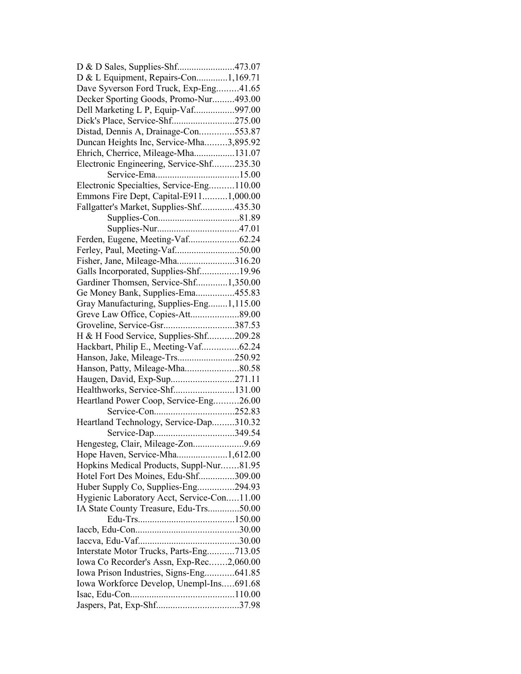| D & D Sales, Supplies-Shf473.07                                          |  |
|--------------------------------------------------------------------------|--|
| D & L Equipment, Repairs-Con1,169.71                                     |  |
| Dave Syverson Ford Truck, Exp-Eng41.65                                   |  |
| Decker Sporting Goods, Promo-Nur493.00                                   |  |
| Dell Marketing L P, Equip-Vaf997.00                                      |  |
| Dick's Place, Service-Shf275.00                                          |  |
| Distad, Dennis A, Drainage-Con553.87                                     |  |
| Duncan Heights Inc, Service-Mha3,895.92                                  |  |
| Ehrich, Cherrice, Mileage-Mha131.07                                      |  |
| Electronic Engineering, Service-Shf235.30                                |  |
|                                                                          |  |
| Electronic Specialties, Service-Eng110.00                                |  |
| Emmons Fire Dept, Capital-E9111,000.00                                   |  |
| Fallgatter's Market, Supplies-Shf435.30                                  |  |
|                                                                          |  |
|                                                                          |  |
| Ferden, Eugene, Meeting-Vaf62.24                                         |  |
| Ferley, Paul, Meeting-Vaf50.00                                           |  |
|                                                                          |  |
| Fisher, Jane, Mileage-Mha316.20<br>Galls Incorporated, Supplies-Shf19.96 |  |
|                                                                          |  |
| Gardiner Thomsen, Service-Shf1,350.00                                    |  |
| Ge Money Bank, Supplies-Ema455.83                                        |  |
| Gray Manufacturing, Supplies-Eng1,115.00                                 |  |
|                                                                          |  |
| Groveline, Service-Gsr387.53                                             |  |
| H & H Food Service, Supplies-Shf209.28                                   |  |
| Hackbart, Philip E., Meeting-Vaf62.24                                    |  |
| Hanson, Jake, Mileage-Trs250.92                                          |  |
| Hanson, Patty, Mileage-Mha80.58                                          |  |
| Haugen, David, Exp-Sup271.11                                             |  |
| Healthworks, Service-Shf131.00                                           |  |
| Heartland Power Coop, Service-Eng26.00                                   |  |
|                                                                          |  |
| Heartland Technology, Service-Dap310.32                                  |  |
|                                                                          |  |
| Hengesteg, Clair, Mileage-Zon9.69                                        |  |
| Hope Haven, Service-Mha1,612.00                                          |  |
| Hopkins Medical Products, Suppl-Nur81.95                                 |  |
| Hotel Fort Des Moines, Edu-Shf309.00                                     |  |
| Huber Supply Co, Supplies-Eng294.93                                      |  |
| Hygienic Laboratory Acct, Service-Con11.00                               |  |
| IA State County Treasure, Edu-Trs50.00                                   |  |
|                                                                          |  |
|                                                                          |  |
|                                                                          |  |
| Interstate Motor Trucks, Parts-Eng713.05                                 |  |
| Iowa Co Recorder's Assn, Exp-Rec2,060.00                                 |  |
| Iowa Prison Industries, Signs-Eng641.85                                  |  |
| Iowa Workforce Develop, Unempl-Ins691.68                                 |  |
|                                                                          |  |
|                                                                          |  |
|                                                                          |  |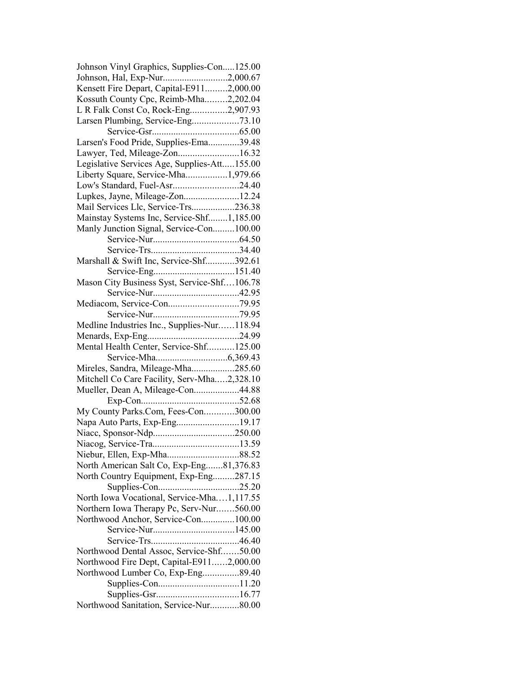| Johnson Vinyl Graphics, Supplies-Con125.00   |  |
|----------------------------------------------|--|
| Johnson, Hal, Exp-Nur2,000.67                |  |
| Kensett Fire Depart, Capital-E9112,000.00    |  |
| Kossuth County Cpc, Reimb-Mha2,202.04        |  |
| L R Falk Const Co, Rock-Eng2,907.93          |  |
|                                              |  |
|                                              |  |
| Larsen's Food Pride, Supplies-Ema39.48       |  |
| Lawyer, Ted, Mileage-Zon16.32                |  |
| Legislative Services Age, Supplies-Att155.00 |  |
| Liberty Square, Service-Mha1,979.66          |  |
|                                              |  |
| Low's Standard, Fuel-Asr24.40                |  |
| Lupkes, Jayne, Mileage-Zon12.24              |  |
| Mail Services Llc, Service-Trs236.38         |  |
| Mainstay Systems Inc, Service-Shf1,185.00    |  |
| Manly Junction Signal, Service-Con100.00     |  |
|                                              |  |
|                                              |  |
| Marshall & Swift Inc, Service-Shf392.61      |  |
|                                              |  |
| Mason City Business Syst, Service-Shf106.78  |  |
|                                              |  |
|                                              |  |
|                                              |  |
| Medline Industries Inc., Supplies-Nur118.94  |  |
|                                              |  |
| Mental Health Center, Service-Shf125.00      |  |
|                                              |  |
| Mireles, Sandra, Mileage-Mha285.60           |  |
| Mitchell Co Care Facility, Serv-Mha2,328.10  |  |
| Mueller, Dean A, Mileage-Con44.88            |  |
|                                              |  |
|                                              |  |
| My County Parks.Com, Fees-Con300.00          |  |
| Napa Auto Parts, Exp-Eng19.17                |  |
|                                              |  |
|                                              |  |
|                                              |  |
| North American Salt Co, Exp-Eng81,376.83     |  |
| North Country Equipment, Exp-Eng287.15       |  |
|                                              |  |
| North Iowa Vocational, Service-Mha1,117.55   |  |
| Northern Iowa Therapy Pc, Serv-Nur560.00     |  |
| Northwood Anchor, Service-Con100.00          |  |
|                                              |  |
|                                              |  |
| Northwood Dental Assoc, Service-Shf50.00     |  |
| Northwood Fire Dept, Capital-E9112,000.00    |  |
| Northwood Lumber Co, Exp-Eng89.40            |  |
|                                              |  |
|                                              |  |
| Northwood Sanitation, Service-Nur80.00       |  |
|                                              |  |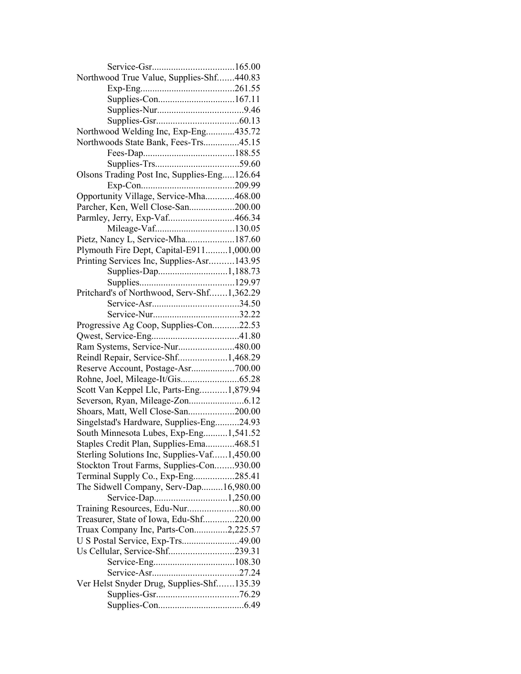| Northwood True Value, Supplies-Shf440.83     |  |
|----------------------------------------------|--|
|                                              |  |
|                                              |  |
|                                              |  |
|                                              |  |
| Northwood Welding Inc, Exp-Eng435.72         |  |
| Northwoods State Bank, Fees-Trs45.15         |  |
|                                              |  |
|                                              |  |
| Olsons Trading Post Inc, Supplies-Eng126.64  |  |
|                                              |  |
| Opportunity Village, Service-Mha468.00       |  |
| Parcher, Ken, Well Close-San200.00           |  |
| Parmley, Jerry, Exp-Vaf466.34                |  |
|                                              |  |
| Pietz, Nancy L, Service-Mha187.60            |  |
|                                              |  |
| Plymouth Fire Dept, Capital-E9111,000.00     |  |
| Printing Services Inc, Supplies-Asr143.95    |  |
| Supplies-Dap1,188.73                         |  |
|                                              |  |
| Pritchard's of Northwood, Serv-Shf1,362.29   |  |
|                                              |  |
|                                              |  |
| Progressive Ag Coop, Supplies-Con22.53       |  |
|                                              |  |
| Ram Systems, Service-Nur480.00               |  |
| Reindl Repair, Service-Shf1,468.29           |  |
| Reserve Account, Postage-Asr700.00           |  |
|                                              |  |
| Scott Van Keppel Llc, Parts-Eng1,879.94      |  |
|                                              |  |
| Shoars, Matt, Well Close-San200.00           |  |
| Singelstad's Hardware, Supplies-Eng24.93     |  |
| South Minnesota Lubes, Exp-Eng1,541.52       |  |
| Staples Credit Plan, Supplies-Ema468.51      |  |
| Sterling Solutions Inc, Supplies-Vaf1,450.00 |  |
| Stockton Trout Farms, Supplies-Con930.00     |  |
| Terminal Supply Co., Exp-Eng285.41           |  |
| The Sidwell Company, Serv-Dap16,980.00       |  |
| Service-Dap1,250.00                          |  |
| Training Resources, Edu-Nur80.00             |  |
| Treasurer, State of Iowa, Edu-Shf220.00      |  |
| Truax Company Inc, Parts-Con2,225.57         |  |
| U S Postal Service, Exp-Trs49.00             |  |
| Us Cellular, Service-Shf239.31               |  |
|                                              |  |
|                                              |  |
| Ver Helst Snyder Drug, Supplies-Shf135.39    |  |
|                                              |  |
|                                              |  |
|                                              |  |